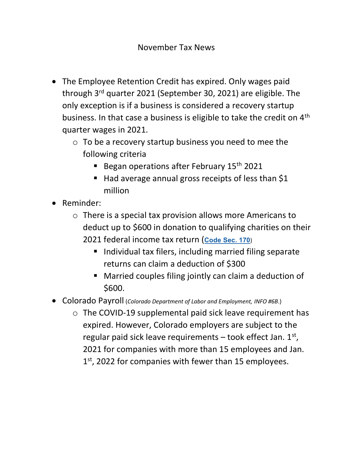- The Employee Retention Credit has expired. Only wages paid through 3rd quarter 2021 (September 30, 2021) are eligible. The only exception is if a business is considered a recovery startup business. In that case a business is eligible to take the credit on 4<sup>th</sup> quarter wages in 2021.
	- $\circ$  To be a recovery startup business you need to mee the following criteria
		- Began operations after February  $15<sup>th</sup> 2021$
		- $\blacksquare$  Had average annual gross receipts of less than \$1 million
- Reminder:
	- o There is a special tax provision allows more Americans to deduct up to \$600 in donation to qualifying charities on their 2021 federal income tax return (Code Sec. 170)
		- Individual tax filers, including married filing separate returns can claim a deduction of \$300
		- Married couples filing jointly can claim a deduction of \$600.
- Colorado Payroll (Colorado Department of Labor and Employment, INFO #6B.)
	- o The COVID-19 supplemental paid sick leave requirement has expired. However, Colorado employers are subject to the regular paid sick leave requirements  $-$  took effect Jan.  $1<sup>st</sup>$ , 2021 for companies with more than 15 employees and Jan. 1<sup>st</sup>, 2022 for companies with fewer than 15 employees.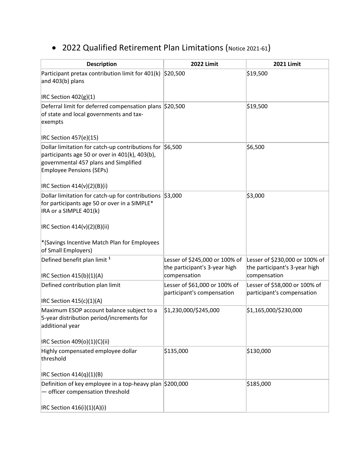## 2022 Qualified Retirement Plan Limitations (Notice 2021-61)

| <b>Description</b>                                                                                                                                                                            | <b>2022 Limit</b>                                               | <b>2021 Limit</b>                                               |
|-----------------------------------------------------------------------------------------------------------------------------------------------------------------------------------------------|-----------------------------------------------------------------|-----------------------------------------------------------------|
| Participant pretax contribution limit for 401(k)<br>and 403(b) plans                                                                                                                          | \$20,500                                                        | \$19,500                                                        |
| IRC Section $402(g)(1)$                                                                                                                                                                       |                                                                 |                                                                 |
| Deferral limit for deferred compensation plans \$20,500<br>of state and local governments and tax-<br>exempts                                                                                 |                                                                 | \$19,500                                                        |
| IRC Section 457(e)(15)                                                                                                                                                                        |                                                                 |                                                                 |
| Dollar limitation for catch-up contributions for $\mid$ \$6,500<br>participants age 50 or over in 401(k), 403(b),<br>governmental 457 plans and Simplified<br><b>Employee Pensions (SEPs)</b> |                                                                 | \$6,500                                                         |
| IRC Section 414(v)(2)(B)(i)                                                                                                                                                                   |                                                                 |                                                                 |
| Dollar limitation for catch-up for contributions \$3,000<br>for participants age 50 or over in a SIMPLE*<br>IRA or a SIMPLE 401(k)                                                            |                                                                 | \$3,000                                                         |
| IRC Section $414(v)(2)(B)(ii)$                                                                                                                                                                |                                                                 |                                                                 |
| *(Savings Incentive Match Plan for Employees<br>of Small Employers)                                                                                                                           |                                                                 |                                                                 |
| Defined benefit plan limit <sup>1</sup>                                                                                                                                                       | Lesser of \$245,000 or 100% of<br>the participant's 3-year high | Lesser of \$230,000 or 100% of<br>the participant's 3-year high |
| IRC Section 415(b)(1)(A)                                                                                                                                                                      | compensation                                                    | compensation                                                    |
| Defined contribution plan limit<br>IRC Section $415(c)(1)(A)$                                                                                                                                 | Lesser of \$61,000 or 100% of<br>participant's compensation     | Lesser of \$58,000 or 100% of<br>participant's compensation     |
| Maximum ESOP account balance subject to a<br>5-year distribution period/increments for<br>additional year<br>IRC Section 409(o)(1)(C)(ii)                                                     | \$1,230,000/\$245,000                                           | \$1,165,000/\$230,000                                           |
| Highly compensated employee dollar                                                                                                                                                            | \$135,000                                                       | \$130,000                                                       |
| threshold                                                                                                                                                                                     |                                                                 |                                                                 |
| IRC Section 414(q)(1)(B)                                                                                                                                                                      |                                                                 |                                                                 |
| Definition of key employee in a top-heavy plan \$200,000<br>officer compensation threshold                                                                                                    |                                                                 | \$185,000                                                       |
| IRC Section 416(i)(1)(A)(i)                                                                                                                                                                   |                                                                 |                                                                 |